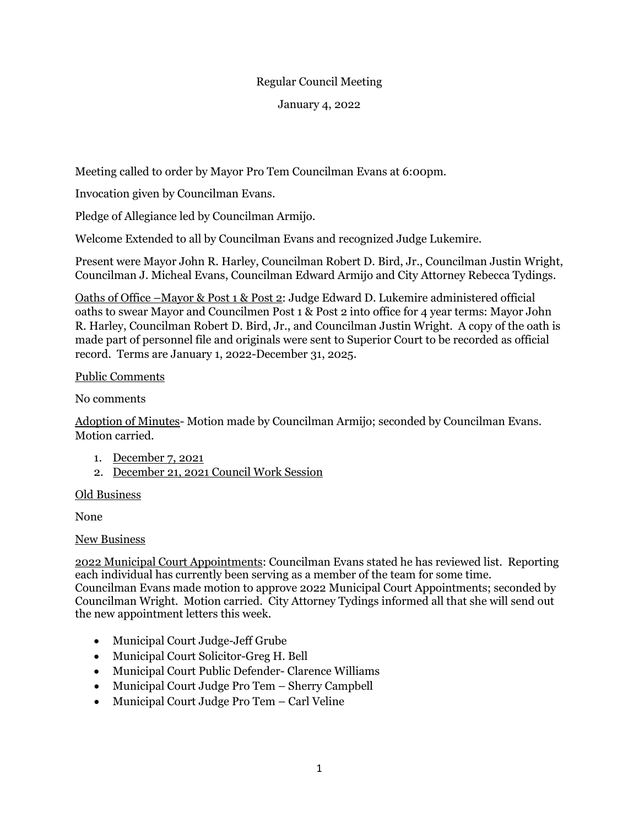## Regular Council Meeting

January 4, 2022

Meeting called to order by Mayor Pro Tem Councilman Evans at 6:00pm.

Invocation given by Councilman Evans.

Pledge of Allegiance led by Councilman Armijo.

Welcome Extended to all by Councilman Evans and recognized Judge Lukemire.

Present were Mayor John R. Harley, Councilman Robert D. Bird, Jr., Councilman Justin Wright, Councilman J. Micheal Evans, Councilman Edward Armijo and City Attorney Rebecca Tydings.

Oaths of Office –Mayor & Post 1 & Post 2: Judge Edward D. Lukemire administered official oaths to swear Mayor and Councilmen Post 1 & Post 2 into office for 4 year terms: Mayor John R. Harley, Councilman Robert D. Bird, Jr., and Councilman Justin Wright. A copy of the oath is made part of personnel file and originals were sent to Superior Court to be recorded as official record. Terms are January 1, 2022-December 31, 2025.

# Public Comments

No comments

Adoption of Minutes- Motion made by Councilman Armijo; seconded by Councilman Evans. Motion carried.

- 1. December 7, 2021
- 2. December 21, 2021 Council Work Session

### Old Business

None

### New Business

2022 Municipal Court Appointments: Councilman Evans stated he has reviewed list. Reporting each individual has currently been serving as a member of the team for some time. Councilman Evans made motion to approve 2022 Municipal Court Appointments; seconded by Councilman Wright. Motion carried. City Attorney Tydings informed all that she will send out the new appointment letters this week.

- Municipal Court Judge-Jeff Grube
- Municipal Court Solicitor-Greg H. Bell
- Municipal Court Public Defender- Clarence Williams
- Municipal Court Judge Pro Tem Sherry Campbell
- Municipal Court Judge Pro Tem Carl Veline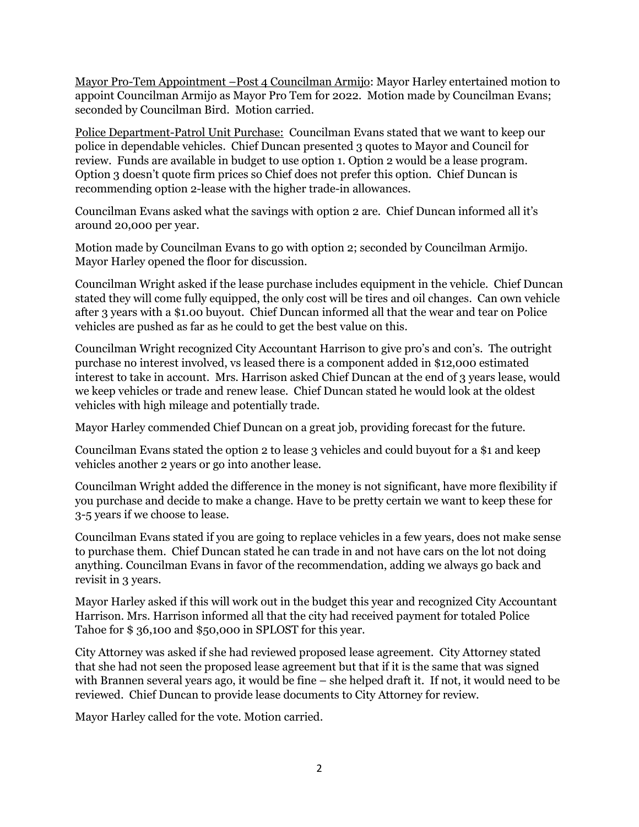Mayor Pro-Tem Appointment –Post 4 Councilman Armijo: Mayor Harley entertained motion to appoint Councilman Armijo as Mayor Pro Tem for 2022. Motion made by Councilman Evans; seconded by Councilman Bird. Motion carried.

Police Department-Patrol Unit Purchase: Councilman Evans stated that we want to keep our police in dependable vehicles. Chief Duncan presented 3 quotes to Mayor and Council for review. Funds are available in budget to use option 1. Option 2 would be a lease program. Option 3 doesn't quote firm prices so Chief does not prefer this option. Chief Duncan is recommending option 2-lease with the higher trade-in allowances.

Councilman Evans asked what the savings with option 2 are. Chief Duncan informed all it's around 20,000 per year.

Motion made by Councilman Evans to go with option 2; seconded by Councilman Armijo. Mayor Harley opened the floor for discussion.

Councilman Wright asked if the lease purchase includes equipment in the vehicle. Chief Duncan stated they will come fully equipped, the only cost will be tires and oil changes. Can own vehicle after 3 years with a \$1.00 buyout. Chief Duncan informed all that the wear and tear on Police vehicles are pushed as far as he could to get the best value on this.

Councilman Wright recognized City Accountant Harrison to give pro's and con's. The outright purchase no interest involved, vs leased there is a component added in \$12,000 estimated interest to take in account. Mrs. Harrison asked Chief Duncan at the end of 3 years lease, would we keep vehicles or trade and renew lease. Chief Duncan stated he would look at the oldest vehicles with high mileage and potentially trade.

Mayor Harley commended Chief Duncan on a great job, providing forecast for the future.

Councilman Evans stated the option 2 to lease 3 vehicles and could buyout for a \$1 and keep vehicles another 2 years or go into another lease.

Councilman Wright added the difference in the money is not significant, have more flexibility if you purchase and decide to make a change. Have to be pretty certain we want to keep these for 3-5 years if we choose to lease.

Councilman Evans stated if you are going to replace vehicles in a few years, does not make sense to purchase them. Chief Duncan stated he can trade in and not have cars on the lot not doing anything. Councilman Evans in favor of the recommendation, adding we always go back and revisit in 3 years.

Mayor Harley asked if this will work out in the budget this year and recognized City Accountant Harrison. Mrs. Harrison informed all that the city had received payment for totaled Police Tahoe for \$ 36,100 and \$50,000 in SPLOST for this year.

City Attorney was asked if she had reviewed proposed lease agreement. City Attorney stated that she had not seen the proposed lease agreement but that if it is the same that was signed with Brannen several years ago, it would be fine – she helped draft it. If not, it would need to be reviewed. Chief Duncan to provide lease documents to City Attorney for review.

Mayor Harley called for the vote. Motion carried.